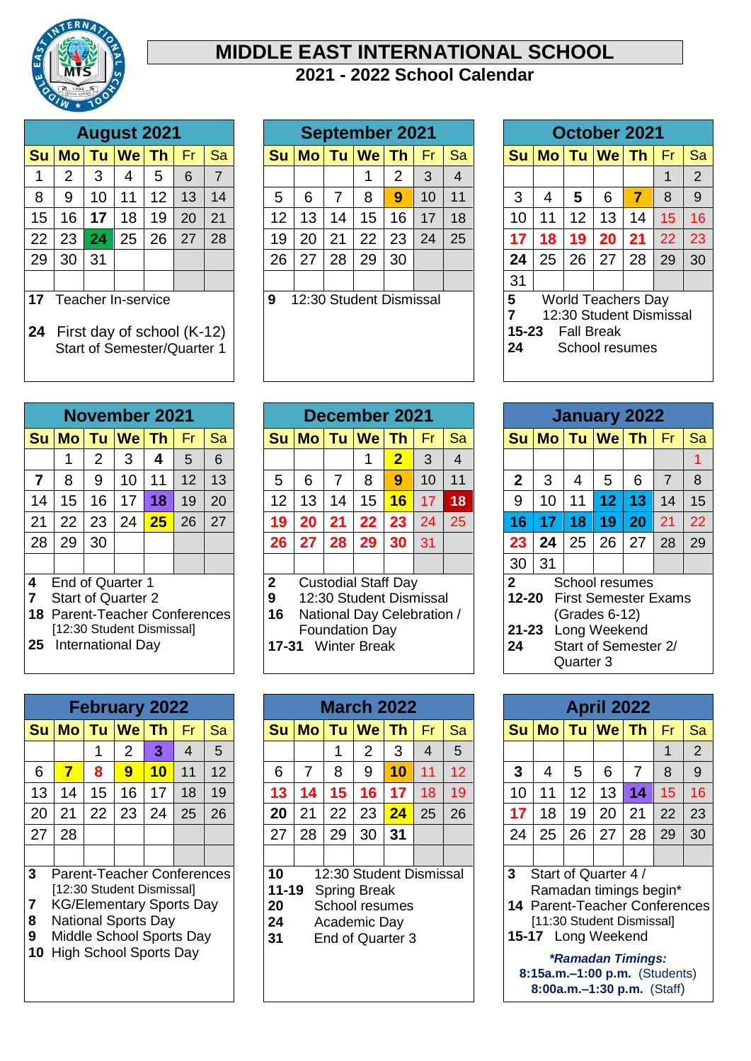

## **MIDDLE EAST INTERNATIONAL SCHOOL 2021 - 2022 School Calendar**

12:30 Student Dismissal

|    |         |    | <b>August 2021</b>      |           |     |    | <b>September 2021</b>             |           |    |               |    |     |           |           |           | October 2021              |           |    |     |    |
|----|---------|----|-------------------------|-----------|-----|----|-----------------------------------|-----------|----|---------------|----|-----|-----------|-----------|-----------|---------------------------|-----------|----|-----|----|
|    | $Su$ Mo |    | Tu   We                 | <b>Th</b> | Fr. | Sa | Su                                | <b>Mo</b> | Tu | $ $ We $ $ Th |    | Fr. | <b>Sa</b> | <b>Su</b> | <b>Mo</b> |                           | Tu Wel Th |    | Fr. | Sa |
|    | ◠       | 3  |                         | 5         | 6   | 7  |                                   |           |    |               | 2  | 3   | 4         |           |           |                           |           |    |     | 2  |
| 8  | 9       | 10 | 11                      | 12        | 13  | 14 | 5                                 | 6         | 7  | 8             | 9  | 10  | 11        | 3         | 4         | 5                         | 6         |    | 8   | 9  |
| 15 | 16      | 17 | 18                      | 19        | 20  | 21 | 12                                | 13        | 14 | 15            | 16 | 17  | 18        | 10        |           | 12                        | 13        | 14 | 15  | 16 |
| 22 | 23      | 24 | 25                      | 26        | 27  | 28 | 19                                | 20        | 21 | 22            | 23 | 24  | 25        | 17        | 18        | 19                        | 20        | 21 | 22  | 23 |
| 29 | 30      | 31 |                         |           |     |    | 26                                | 27        | 28 | 29            | 30 |     |           | 24        | 25        | 26                        | 27        | 28 | 29  | 30 |
|    |         |    |                         |           |     |    |                                   |           |    |               |    |     |           | 31        |           |                           |           |    |     |    |
|    |         |    | $47$ Topohor in populac |           |     |    | 10.00 Chidant Diamicsol<br>$\sim$ |           |    |               |    |     | E         |           |           | <i>Morld Topphore Dou</i> |           |    |     |    |

Teacher In-service

 First day of school (K-12) Start of Semester/Quarter 1

|                                                                                                           | <b>November 2021</b> |                |                   |    |    |    |  |  |  |  |  |
|-----------------------------------------------------------------------------------------------------------|----------------------|----------------|-------------------|----|----|----|--|--|--|--|--|
| Su                                                                                                        |                      |                | Mo   Tu   We   Th |    | Fr | Sa |  |  |  |  |  |
|                                                                                                           | 1                    | $\overline{2}$ | 3                 | 4  | 5  | 6  |  |  |  |  |  |
| 9<br>10<br>$\overline{7}$<br>8<br>12<br>11<br>13                                                          |                      |                |                   |    |    |    |  |  |  |  |  |
| 14                                                                                                        | 15                   | 16             | 17                | 18 | 19 | 20 |  |  |  |  |  |
| 21                                                                                                        | 22                   | 23             | 24                | 25 | 26 | 27 |  |  |  |  |  |
| 28                                                                                                        | 29                   | 30             |                   |    |    |    |  |  |  |  |  |
|                                                                                                           |                      |                |                   |    |    |    |  |  |  |  |  |
| End of Quarter 1<br>4<br>$\overline{7}$<br><b>Start of Quarter 2</b><br><b>Parent-Teacher Conferences</b> |                      |                |                   |    |    |    |  |  |  |  |  |

- [12:30 Student Dismissal]
- International Day

| <b>February 2022</b> |    |    |             |                |    |    |  |  |  |  |
|----------------------|----|----|-------------|----------------|----|----|--|--|--|--|
| <b>Su</b>            |    |    | Mo Tu We Th |                | Fr | Sa |  |  |  |  |
|                      |    |    | 2           | $\overline{3}$ | 4  | 5  |  |  |  |  |
| 6                    | 7  | 8  | 9           | 10             | 11 | 12 |  |  |  |  |
| 13                   | 14 | 15 | 16          | 17             | 18 | 19 |  |  |  |  |
| 20                   | 21 | 22 | 23          | 24             | 25 | 26 |  |  |  |  |
| 27                   | 28 |    |             |                |    |    |  |  |  |  |
|                      |    |    |             |                |    |    |  |  |  |  |

- Parent-Teacher Conferences [12:30 Student Dismissal]
- KG/Elementary Sports Day
- National Sports Day
- Middle School Sports Day High School Sports Day

**November 2021 December 2021 January 2022 Su Mo Tu We Th** Fr Sa **Su Mo Tu We Th** Fr Sa **Su Mo Tu We Th** Fr Sa 2 3 **4** 5 6 1 **2** 3 4 1 8 9 10 11 12 13 5 6 7 8 **9** 10 11 **2** 3 4 5 6 7 8 15 16 17 **18** 19 20 12 13 14 15 **16** 17 **18** 9 10 11 **12 13** 14 15 22 23 24 **25** 26 27 **19 20 21 22 23** 24 25 **16 17 18 19 20** 21 22 29 30 **26 27 28 29 30** 31 **23 24** 25 26 27 28 29 Custodial Staff Day 12:30 Student Dismissal National Day Celebration / Foundation Day **17-31** Winter Break

|           |                                 |           |           | <b>February 2022</b> |     |           |                                                            | <b>March 2022</b> |    |           |       |    |           |  | <b>April 2022</b>             |       |    |                        |                 |    |    |
|-----------|---------------------------------|-----------|-----------|----------------------|-----|-----------|------------------------------------------------------------|-------------------|----|-----------|-------|----|-----------|--|-------------------------------|-------|----|------------------------|-----------------|----|----|
| <b>Su</b> | M <sub>O</sub>                  | <b>Tu</b> | <b>We</b> | l Th                 | Fr. | <b>Sa</b> |                                                            | Su Mo             | Tu | <b>We</b> | l Thi | Fr | <b>Sa</b> |  |                               | Su Mo | Tu | We Th                  |                 | Fr | Sa |
|           |                                 |           |           | з                    | 4   | 5         |                                                            |                   |    | 2         | 3     | 4  | 5         |  |                               |       |    |                        |                 |    | 2  |
| 6         |                                 | 8         | 9         | 10                   | 11  | 12        | 6                                                          |                   | 8  | 9         | 10    | 11 | 12        |  | 3                             | 4     | 5  | 6                      |                 | 8  | 9  |
| 13        | 14                              | 15        | 16        | 17                   | 18  | 19        | 13                                                         | 14                | 15 | 16        | 17    | 18 | 19        |  | 10                            | 11    | 12 | 13                     | $\overline{14}$ | 15 | 16 |
| 20        | 21                              | 22        | 23        | 24                   | 25  | 26        | 20                                                         | 21                | 22 | 23        | 24    | 25 | 26        |  | 17                            | 18    | 19 | 20                     | 21              | 22 | 23 |
| 27        | 28                              |           |           |                      |     |           | 27                                                         | 28                | 29 | 30        | 31    |    |           |  | 24                            | 25    | 26 | 27                     | 28              | 29 | 30 |
|           |                                 |           |           |                      |     |           |                                                            |                   |    |           |       |    |           |  |                               |       |    |                        |                 |    |    |
| 3         | Parent-Teacher Conferences      |           |           |                      |     |           | 12:30 Student Dismissal<br>3<br>Start of Quarter 4 /<br>10 |                   |    |           |       |    |           |  |                               |       |    |                        |                 |    |    |
|           | [12:30 Student Dismissal]       |           |           |                      |     |           | $11 - 19$<br><b>Spring Break</b>                           |                   |    |           |       |    |           |  |                               |       |    | Ramadan timings begin* |                 |    |    |
| 7         | <b>KG/Elementary Sports Day</b> |           |           |                      |     |           | 20                                                         | School resumes    |    |           |       |    |           |  | 14 Parent-Teacher Conferences |       |    |                        |                 |    |    |
|           | .                               |           |           |                      |     |           |                                                            |                   |    |           |       |    |           |  |                               |       |    |                        |                 |    |    |

- Academic Day
- End of Quarter 3

|                           | October 2021                                                                                             |    |             |                |    |                |  |  |  |  |  |  |
|---------------------------|----------------------------------------------------------------------------------------------------------|----|-------------|----------------|----|----------------|--|--|--|--|--|--|
| <b>Su</b>                 |                                                                                                          |    | Mo Tu We Th |                | Fr | Sa             |  |  |  |  |  |  |
|                           |                                                                                                          |    |             |                | 1  | $\overline{2}$ |  |  |  |  |  |  |
| 3                         | 4                                                                                                        | 5  | 6           | $\overline{7}$ | 8  | 9              |  |  |  |  |  |  |
| 10                        | 11                                                                                                       | 12 | 13          | 14             | 15 | 16             |  |  |  |  |  |  |
| 17                        | 18                                                                                                       | 19 | 20          | 21             | 22 | 23             |  |  |  |  |  |  |
| 24                        | 25                                                                                                       | 26 | 27          | 28             | 29 | 30             |  |  |  |  |  |  |
| 31                        |                                                                                                          |    |             |                |    |                |  |  |  |  |  |  |
| 5<br>$\overline{7}$<br>24 | <b>World Teachers Day</b><br>12:30 Student Dismissal<br>$15 - 23$<br><b>Fall Break</b><br>School resumes |    |             |                |    |                |  |  |  |  |  |  |

|                                            |    |           | <b>January 2022</b>                                                                                    |    |                |    |  |  |  |
|--------------------------------------------|----|-----------|--------------------------------------------------------------------------------------------------------|----|----------------|----|--|--|--|
| <b>Su</b>                                  |    |           | Mo Tu We Th                                                                                            |    | Fr             | Sa |  |  |  |
|                                            |    |           |                                                                                                        |    |                | 1  |  |  |  |
| $\boldsymbol{2}$                           | 3  | 5<br>4    |                                                                                                        | 6  | $\overline{7}$ | 8  |  |  |  |
| 9<br>10<br>11<br>12<br>13<br>14<br>15      |    |           |                                                                                                        |    |                |    |  |  |  |
| 16                                         | 17 | 18        | 19                                                                                                     | 20 | 21             | 22 |  |  |  |
| 23                                         | 24 | 25        | 26                                                                                                     | 27 | 28             | 29 |  |  |  |
| 30                                         | 31 |           |                                                                                                        |    |                |    |  |  |  |
| $\overline{2}$<br>12-20<br>$21 - 23$<br>24 |    | Quarter 3 | School resumes<br><b>First Semester Exams</b><br>(Grades 6-12)<br>Long Weekend<br>Start of Semester 2/ |    |                |    |  |  |  |

|                                                                                                                                                | <b>April 2022</b>                                           |  |                          |           |    |                |  |  |  |  |  |
|------------------------------------------------------------------------------------------------------------------------------------------------|-------------------------------------------------------------|--|--------------------------|-----------|----|----------------|--|--|--|--|--|
| Su                                                                                                                                             | <b>Mo</b>                                                   |  | Tu   We                  | <b>Th</b> | Fr | Sa             |  |  |  |  |  |
|                                                                                                                                                |                                                             |  |                          |           | 1  | $\overline{2}$ |  |  |  |  |  |
| 3<br>6<br>$\overline{7}$<br>4<br>5<br>9<br>8                                                                                                   |                                                             |  |                          |           |    |                |  |  |  |  |  |
| 11<br>12<br>10<br>13<br>14<br>15<br>16                                                                                                         |                                                             |  |                          |           |    |                |  |  |  |  |  |
| 19<br>17<br>18<br>20<br>21<br>22<br>23                                                                                                         |                                                             |  |                          |           |    |                |  |  |  |  |  |
| 25<br>26<br>27<br>28<br>29<br>30<br>24                                                                                                         |                                                             |  |                          |           |    |                |  |  |  |  |  |
|                                                                                                                                                |                                                             |  |                          |           |    |                |  |  |  |  |  |
| 3<br>Start of Quarter 4 /<br>Ramadan timings begin*<br>14 Parent-Teacher Conferences<br>[11:30 Student Dismissal]<br>$15 - 17$<br>Long Weekend |                                                             |  |                          |           |    |                |  |  |  |  |  |
|                                                                                                                                                | 8:15a.m.-1:00 p.m. (Students)<br>8:00a.m.-1:30 p.m. (Staff) |  | <b>*Ramadan Timings:</b> |           |    |                |  |  |  |  |  |